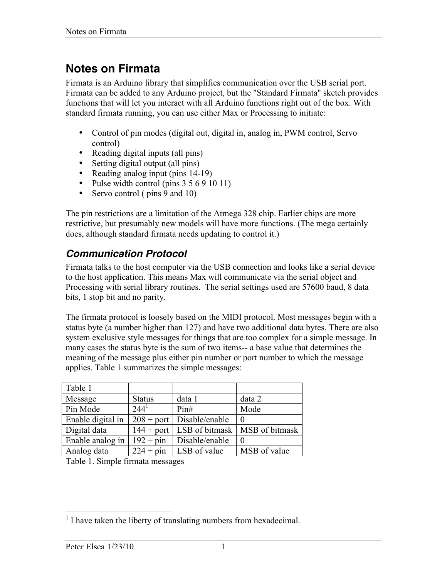# **Notes on Firmata**

Firmata is an Arduino library that simplifies communication over the USB serial port. Firmata can be added to any Arduino project, but the "Standard Firmata" sketch provides functions that will let you interact with all Arduino functions right out of the box. With standard firmata running, you can use either Max or Processing to initiate:

- Control of pin modes (digital out, digital in, analog in, PWM control, Servo control)
- Reading digital inputs (all pins)
- Setting digital output (all pins)
- Reading analog input (pins 14-19)
- Pulse width control (pins  $3\ 5\ 6\ 9\ 10\ 11$ )
- Servo control (pins 9 and 10)

The pin restrictions are a limitation of the Atmega 328 chip. Earlier chips are more restrictive, but presumably new models will have more functions. (The mega certainly does, although standard firmata needs updating to control it.)

### *Communication Protocol*

Firmata talks to the host computer via the USB connection and looks like a serial device to the host application. This means Max will communicate via the serial object and Processing with serial library routines. The serial settings used are 57600 baud, 8 data bits, 1 stop bit and no parity.

The firmata protocol is loosely based on the MIDI protocol. Most messages begin with a status byte (a number higher than 127) and have two additional data bytes. There are also system exclusive style messages for things that are too complex for a simple message. In many cases the status byte is the sum of two items-- a base value that determines the meaning of the message plus either pin number or port number to which the message applies. Table 1 summarizes the simple messages:

| Table 1           |               |                               |                                                |
|-------------------|---------------|-------------------------------|------------------------------------------------|
| Message           | <b>Status</b> | data 1                        | data 2                                         |
| Pin Mode          | $244^1$       | Pin#                          | Mode                                           |
| Enable digital in |               | $208 +$ port   Disable/enable | $\Omega$                                       |
| Digital data      |               |                               | $144 +$ port   LSB of bitmask   MSB of bitmask |
| Enable analog in  | $192 + pin$   | Disable/enable                |                                                |
| Analog data       |               | $224 + pin$ LSB of value      | MSB of value                                   |

Table 1. Simple firmata messages

<sup>&</sup>lt;sup>1</sup> I have taken the liberty of translating numbers from hexadecimal.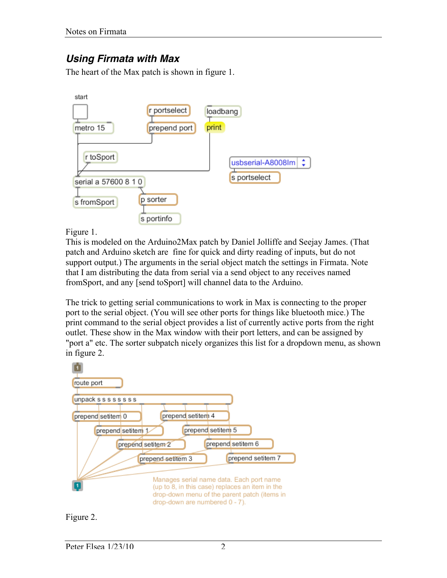## *Using Firmata with Max*

The heart of the Max patch is shown in figure 1.



Figure 1.

This is modeled on the Arduino2Max patch by Daniel Jolliffe and Seejay James. (That patch and Arduino sketch are fine for quick and dirty reading of inputs, but do not support output.) The arguments in the serial object match the settings in Firmata. Note that I am distributing the data from serial via a send object to any receives named fromSport, and any [send toSport] will channel data to the Arduino.

The trick to getting serial communications to work in Max is connecting to the proper port to the serial object. (You will see other ports for things like bluetooth mice.) The print command to the serial object provides a list of currently active ports from the right outlet. These show in the Max window with their port letters, and can be assigned by "port a" etc. The sorter subpatch nicely organizes this list for a dropdown menu, as shown in figure 2.



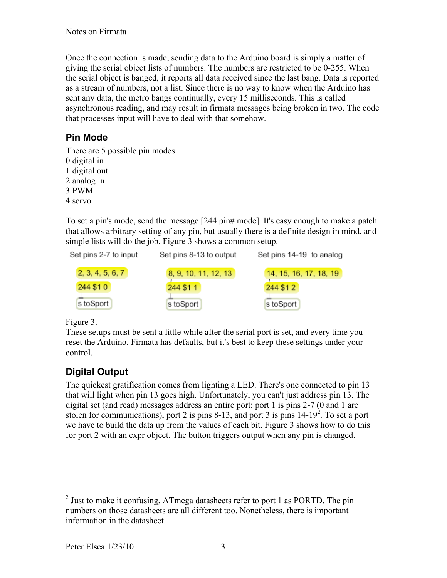Once the connection is made, sending data to the Arduino board is simply a matter of giving the serial object lists of numbers. The numbers are restricted to be 0-255. When the serial object is banged, it reports all data received since the last bang. Data is reported as a stream of numbers, not a list. Since there is no way to know when the Arduino has sent any data, the metro bangs continually, every 15 milliseconds. This is called asynchronous reading, and may result in firmata messages being broken in two. The code that processes input will have to deal with that somehow.

#### **Pin Mode**

There are 5 possible pin modes: 0 digital in

1 digital out

2 analog in

3 PWM

4 servo

To set a pin's mode, send the message [244 pin# mode]. It's easy enough to make a patch that allows arbitrary setting of any pin, but usually there is a definite design in mind, and simple lists will do the job. Figure 3 shows a common setup.



Figure 3.

These setups must be sent a little while after the serial port is set, and every time you reset the Arduino. Firmata has defaults, but it's best to keep these settings under your control.

### **Digital Output**

The quickest gratification comes from lighting a LED. There's one connected to pin 13 that will light when pin 13 goes high. Unfortunately, you can't just address pin 13. The digital set (and read) messages address an entire port: port 1 is pins 2-7 (0 and 1 are stolen for communications), port 2 is pins 8-13, and port 3 is pins  $14-19^2$ . To set a port we have to build the data up from the values of each bit. Figure 3 shows how to do this for port 2 with an expr object. The button triggers output when any pin is changed.

<sup>&</sup>lt;sup>2</sup> Just to make it confusing, ATmega datasheets refer to port 1 as PORTD. The pin numbers on those datasheets are all different too. Nonetheless, there is important information in the datasheet.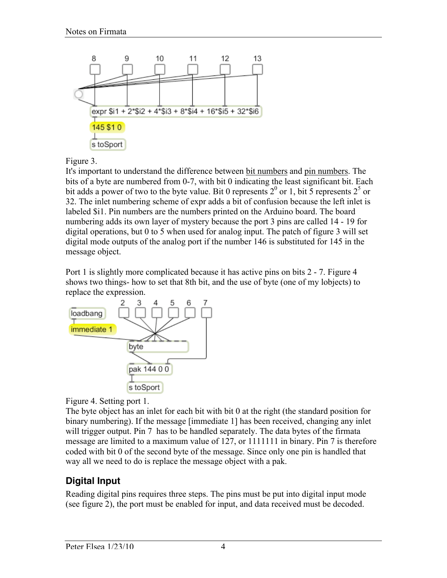

#### Figure 3.

It's important to understand the difference between bit numbers and pin numbers. The bits of a byte are numbered from 0-7, with bit 0 indicating the least significant bit. Each bit adds a power of two to the byte value. Bit 0 represents  $2^0$  or 1, bit 5 represents  $2^5$  or 32. The inlet numbering scheme of expr adds a bit of confusion because the left inlet is labeled \$i1. Pin numbers are the numbers printed on the Arduino board. The board numbering adds its own layer of mystery because the port 3 pins are called 14 - 19 for digital operations, but 0 to 5 when used for analog input. The patch of figure 3 will set digital mode outputs of the analog port if the number 146 is substituted for 145 in the message object.

Port 1 is slightly more complicated because it has active pins on bits 2 - 7. Figure 4 shows two things- how to set that 8th bit, and the use of byte (one of my lobjects) to replace the expression.



Figure 4. Setting port 1.

The byte object has an inlet for each bit with bit 0 at the right (the standard position for binary numbering). If the message [immediate 1] has been received, changing any inlet will trigger output. Pin 7 has to be handled separately. The data bytes of the firmata message are limited to a maximum value of 127, or 1111111 in binary. Pin 7 is therefore coded with bit 0 of the second byte of the message. Since only one pin is handled that way all we need to do is replace the message object with a pak.

### **Digital Input**

Reading digital pins requires three steps. The pins must be put into digital input mode (see figure 2), the port must be enabled for input, and data received must be decoded.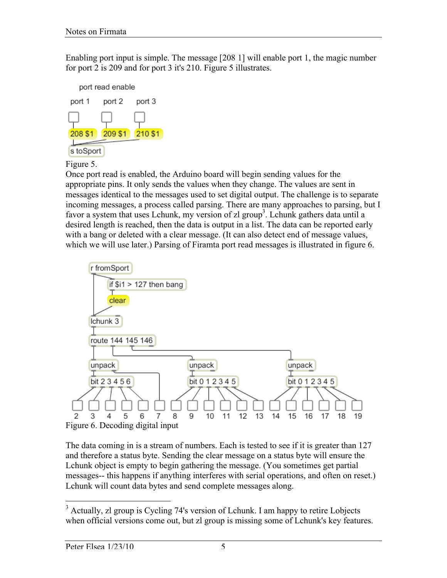Enabling port input is simple. The message [208 1] will enable port 1, the magic number for port 2 is 209 and for port 3 it's 210. Figure 5 illustrates.



Figure 5.

Once port read is enabled, the Arduino board will begin sending values for the appropriate pins. It only sends the values when they change. The values are sent in messages identical to the messages used to set digital output. The challenge is to separate incoming messages, a process called parsing. There are many approaches to parsing, but I favor a system that uses Lchunk, my version of zl group<sup>3</sup>. Lchunk gathers data until a desired length is reached, then the data is output in a list. The data can be reported early with a bang or deleted with a clear message. (It can also detect end of message values, which we will use later.) Parsing of Firamta port read messages is illustrated in figure 6.



The data coming in is a stream of numbers. Each is tested to see if it is greater than 127 and therefore a status byte. Sending the clear message on a status byte will ensure the Lchunk object is empty to begin gathering the message. (You sometimes get partial messages-- this happens if anything interferes with serial operations, and often on reset.) Lchunk will count data bytes and send complete messages along.

<sup>&</sup>lt;sup>3</sup> Actually, zl group is Cycling 74's version of Lchunk. I am happy to retire Lobjects when official versions come out, but zl group is missing some of Lchunk's key features.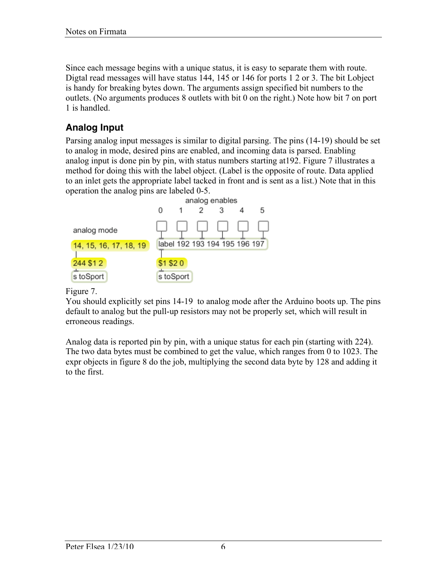Since each message begins with a unique status, it is easy to separate them with route. Digtal read messages will have status 144, 145 or 146 for ports 1 2 or 3. The bit Lobject is handy for breaking bytes down. The arguments assign specified bit numbers to the outlets. (No arguments produces 8 outlets with bit 0 on the right.) Note how bit 7 on port 1 is handled.

### **Analog Input**

Parsing analog input messages is similar to digital parsing. The pins (14-19) should be set to analog in mode, desired pins are enabled, and incoming data is parsed. Enabling analog input is done pin by pin, with status numbers starting at192. Figure 7 illustrates a method for doing this with the label object. (Label is the opposite of route. Data applied to an inlet gets the appropriate label tacked in front and is sent as a list.) Note that in this operation the analog pins are labeled 0-5.



#### Figure 7.

You should explicitly set pins 14-19 to analog mode after the Arduino boots up. The pins default to analog but the pull-up resistors may not be properly set, which will result in erroneous readings.

Analog data is reported pin by pin, with a unique status for each pin (starting with 224). The two data bytes must be combined to get the value, which ranges from 0 to 1023. The expr objects in figure 8 do the job, multiplying the second data byte by 128 and adding it to the first.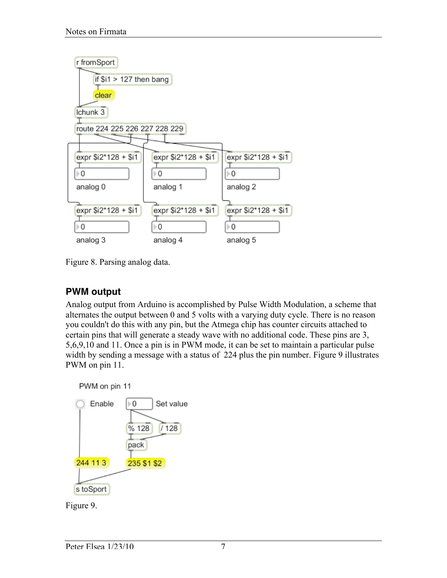

Figure 8. Parsing analog data.

## **PWM output**

Analog output from Arduino is accomplished by Pulse Width Modulation, a scheme that alternates the output between 0 and 5 volts with a varying duty cycle. There is no reason you couldn't do this with any pin, but the Atmega chip has counter circuits attached to certain pins that will generate a steady wave with no additional code. These pins are 3, 5,6,9,10 and 11. Once a pin is in PWM mode, it can be set to maintain a particular pulse width by sending a message with a status of 224 plus the pin number. Figure 9 illustrates PWM on pin 11.

PWM on pin 11



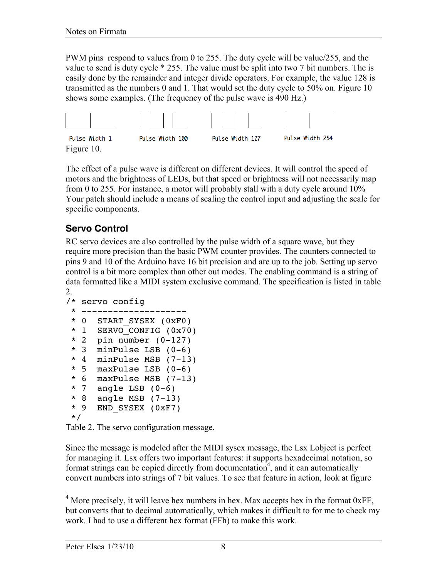PWM pins respond to values from 0 to 255. The duty cycle will be value/255, and the value to send is duty cycle \* 255. The value must be split into two 7 bit numbers. The is easily done by the remainder and integer divide operators. For example, the value 128 is transmitted as the numbers 0 and 1. That would set the duty cycle to 50% on. Figure 10 shows some examples. (The frequency of the pulse wave is 490 Hz.)



The effect of a pulse wave is different on different devices. It will control the speed of motors and the brightness of LEDs, but that speed or brightness will not necessarily map from 0 to 255. For instance, a motor will probably stall with a duty cycle around 10% Your patch should include a means of scaling the control input and adjusting the scale for specific components.

### **Servo Control**

RC servo devices are also controlled by the pulse width of a square wave, but they require more precision than the basic PWM counter provides. The counters connected to pins 9 and 10 of the Arduino have 16 bit precision and are up to the job. Setting up servo control is a bit more complex than other out modes. The enabling command is a string of data formatted like a MIDI system exclusive command. The specification is listed in table 2.

```
/* servo config
 * --------------------
  * 0 START_SYSEX (0xF0)
  * 1 SERVO_CONFIG (0x70)
  * 2 pin number (0-127)
  * 3 minPulse LSB (0-6)
  * 4 minPulse MSB (7-13)
  * 5 maxPulse LSB (0-6)
  * 6 maxPulse MSB (7-13)
 * 7 angle LSB (0-6)
  * 8 angle MSB (7-13)
  * 9 END_SYSEX (0xF7)
  */
```
Table 2. The servo configuration message.

Since the message is modeled after the MIDI sysex message, the Lsx Lobject is perfect for managing it. Lsx offers two important features: it supports hexadecimal notation, so format strings can be copied directly from documentation<sup>4</sup>, and it can automatically convert numbers into strings of 7 bit values. To see that feature in action, look at figure

<sup>&</sup>lt;sup>4</sup> More precisely, it will leave hex numbers in hex. Max accepts hex in the format 0xFF, but converts that to decimal automatically, which makes it difficult to for me to check my work. I had to use a different hex format (FFh) to make this work.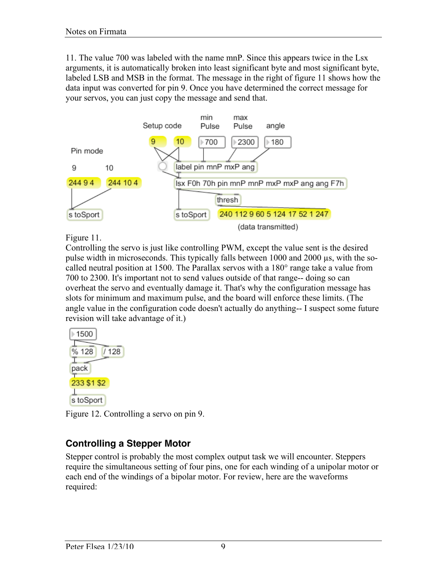11. The value 700 was labeled with the name mnP. Since this appears twice in the Lsx arguments, it is automatically broken into least significant byte and most significant byte, labeled LSB and MSB in the format. The message in the right of figure 11 shows how the data input was converted for pin 9. Once you have determined the correct message for your servos, you can just copy the message and send that.



Figure 11.

Controlling the servo is just like controlling PWM, except the value sent is the desired pulse width in microseconds. This typically falls between 1000 and 2000 µs, with the socalled neutral position at 1500. The Parallax servos with a 180° range take a value from 700 to 2300. It's important not to send values outside of that range-- doing so can overheat the servo and eventually damage it. That's why the configuration message has slots for minimum and maximum pulse, and the board will enforce these limits. (The angle value in the configuration code doesn't actually do anything-- I suspect some future revision will take advantage of it.)



Figure 12. Controlling a servo on pin 9.

### **Controlling a Stepper Motor**

Stepper control is probably the most complex output task we will encounter. Steppers require the simultaneous setting of four pins, one for each winding of a unipolar motor or each end of the windings of a bipolar motor. For review, here are the waveforms required: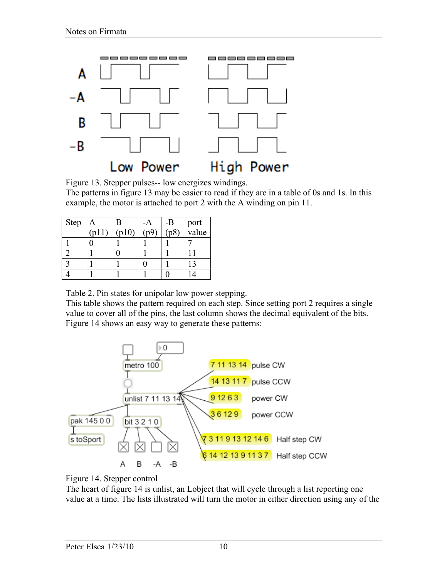

Figure 13. Stepper pulses-- low energizes windings.

The patterns in figure 13 may be easier to read if they are in a table of 0s and 1s. In this example, the motor is attached to port 2 with the A winding on pin 11.

| Step | Α              | Β     | -A   | $-B$<br>(p8) |               |
|------|----------------|-------|------|--------------|---------------|
|      | $f_{\text{D}}$ | (p10) | (n9) |              | port<br>value |
|      |                |       |      |              |               |
|      |                |       |      |              |               |
|      |                |       |      |              |               |
|      |                |       |      |              |               |

Table 2. Pin states for unipolar low power stepping.

This table shows the pattern required on each step. Since setting port 2 requires a single value to cover all of the pins, the last column shows the decimal equivalent of the bits. Figure 14 shows an easy way to generate these patterns:





The heart of figure 14 is unlist, an Lobject that will cycle through a list reporting one value at a time. The lists illustrated will turn the motor in either direction using any of the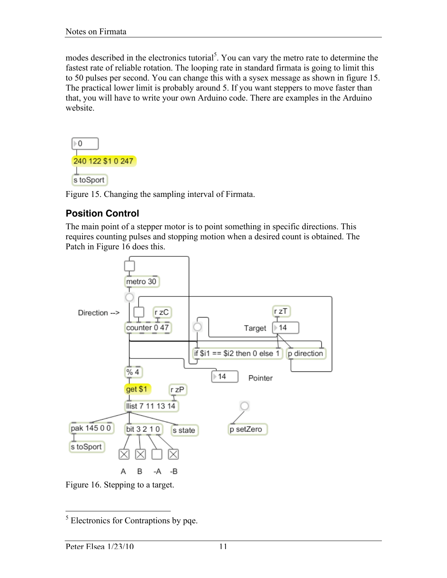modes described in the electronics tutorial<sup>5</sup>. You can vary the metro rate to determine the fastest rate of reliable rotation. The looping rate in standard firmata is going to limit this to 50 pulses per second. You can change this with a sysex message as shown in figure 15. The practical lower limit is probably around 5. If you want steppers to move faster than that, you will have to write your own Arduino code. There are examples in the Arduino website.



Figure 15. Changing the sampling interval of Firmata.

### **Position Control**

The main point of a stepper motor is to point something in specific directions. This requires counting pulses and stopping motion when a desired count is obtained. The Patch in Figure 16 does this.



Figure 16. Stepping to a target.

<sup>&</sup>lt;sup>5</sup> Electronics for Contraptions by pqe.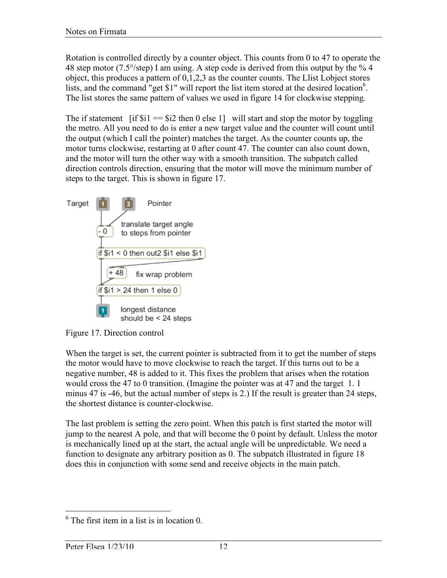Rotation is controlled directly by a counter object. This counts from 0 to 47 to operate the 48 step motor (7.5 $\degree$ /step) I am using. A step code is derived from this output by the  $\degree$  4 object, this produces a pattern of 0,1,2,3 as the counter counts. The Llist Lobject stores lists, and the command "get \$1" will report the list item stored at the desired location<sup>6</sup>. The list stores the same pattern of values we used in figure 14 for clockwise stepping.

The if statement [if  $\hat{\mathbf{s}} = \hat{\mathbf{s}} = \hat{\mathbf{s}}$  is then 0 else 1] will start and stop the motor by toggling the metro. All you need to do is enter a new target value and the counter will count until the output (which I call the pointer) matches the target. As the counter counts up, the motor turns clockwise, restarting at 0 after count 47. The counter can also count down, and the motor will turn the other way with a smooth transition. The subpatch called direction controls direction, ensuring that the motor will move the minimum number of steps to the target. This is shown in figure 17.



Figure 17. Direction control

When the target is set, the current pointer is subtracted from it to get the number of steps the motor would have to move clockwise to reach the target. If this turns out to be a negative number, 48 is added to it. This fixes the problem that arises when the rotation would cross the 47 to 0 transition. (Imagine the pointer was at 47 and the target 1. 1 minus 47 is -46, but the actual number of steps is 2.) If the result is greater than 24 steps, the shortest distance is counter-clockwise.

The last problem is setting the zero point. When this patch is first started the motor will jump to the nearest A pole, and that will become the 0 point by default. Unless the motor is mechanically lined up at the start, the actual angle will be unpredictable. We need a function to designate any arbitrary position as 0. The subpatch illustrated in figure 18 does this in conjunction with some send and receive objects in the main patch.

 <sup>6</sup> The first item in a list is in location 0.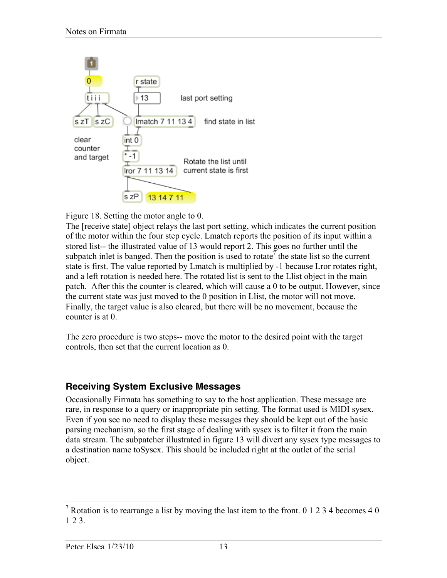

Figure 18. Setting the motor angle to 0.

The [receive state] object relays the last port setting, which indicates the current position of the motor within the four step cycle. Lmatch reports the position of its input within a stored list-- the illustrated value of 13 would report 2. This goes no further until the subpatch inlet is banged. Then the position is used to rotate<sup>7</sup> the state list so the current state is first. The value reported by Lmatch is multiplied by -1 because Lror rotates right, and a left rotation is needed here. The rotated list is sent to the Llist object in the main patch. After this the counter is cleared, which will cause a 0 to be output. However, since the current state was just moved to the 0 position in Llist, the motor will not move. Finally, the target value is also cleared, but there will be no movement, because the counter is at 0.

The zero procedure is two steps-- move the motor to the desired point with the target controls, then set that the current location as 0.

#### **Receiving System Exclusive Messages**

Occasionally Firmata has something to say to the host application. These message are rare, in response to a query or inappropriate pin setting. The format used is MIDI sysex. Even if you see no need to display these messages they should be kept out of the basic parsing mechanism, so the first stage of dealing with sysex is to filter it from the main data stream. The subpatcher illustrated in figure 13 will divert any sysex type messages to a destination name toSysex. This should be included right at the outlet of the serial object.

<sup>&</sup>lt;sup>7</sup> Rotation is to rearrange a list by moving the last item to the front. 0 1 2 3 4 becomes 4 0 1 2 3.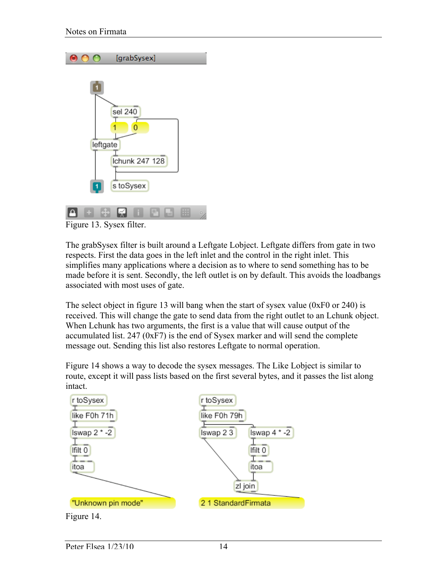|               | [grabSysex]                                 |
|---------------|---------------------------------------------|
| leftgate<br>1 | sel 240<br>n<br>Ichunk 247 128<br>s toSysex |
| ∽-            | $\sim$ 1                                    |

Figure 13. Sysex filter.

The grabSysex filter is built around a Leftgate Lobject. Leftgate differs from gate in two respects. First the data goes in the left inlet and the control in the right inlet. This simplifies many applications where a decision as to where to send something has to be made before it is sent. Secondly, the left outlet is on by default. This avoids the loadbangs associated with most uses of gate.

The select object in figure 13 will bang when the start of sysex value (0xF0 or 240) is received. This will change the gate to send data from the right outlet to an Lchunk object. When Lchunk has two arguments, the first is a value that will cause output of the accumulated list. 247 (0xF7) is the end of Sysex marker and will send the complete message out. Sending this list also restores Leftgate to normal operation.

Figure 14 shows a way to decode the sysex messages. The Like Lobject is similar to route, except it will pass lists based on the first several bytes, and it passes the list along intact.

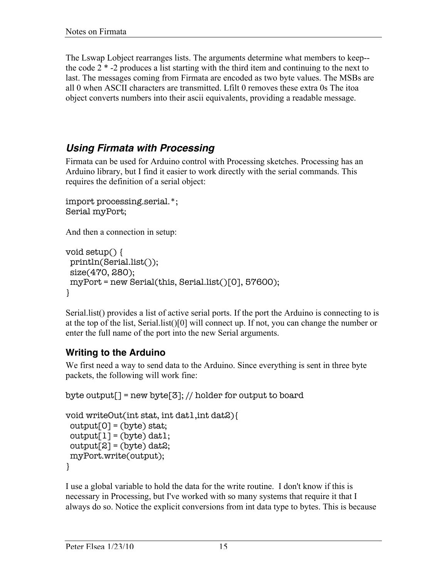The Lswap Lobject rearranges lists. The arguments determine what members to keep- the code 2 \* -2 produces a list starting with the third item and continuing to the next to last. The messages coming from Firmata are encoded as two byte values. The MSBs are all 0 when ASCII characters are transmitted. Lfilt 0 removes these extra 0s The itoa object converts numbers into their ascii equivalents, providing a readable message.

### *Using Firmata with Processing*

Firmata can be used for Arduino control with Processing sketches. Processing has an Arduino library, but I find it easier to work directly with the serial commands. This requires the definition of a serial object:

```
import processing.serial.*;
Serial myPort;
```
And then a connection in setup:

```
void setup() {
  println(Serial.list());
  size(470, 280);
  myPort = new Serial(this, Serial.list()[0], 57600);
}
```
Serial.list() provides a list of active serial ports. If the port the Arduino is connecting to is at the top of the list, Serial.list()[0] will connect up. If not, you can change the number or enter the full name of the port into the new Serial arguments.

#### **Writing to the Arduino**

We first need a way to send data to the Arduino. Since everything is sent in three byte packets, the following will work fine:

```
byte output[] = new byte[3]; // holder for output to board
```

```
void writeOut(int stat, int dat1,int dat2){
 output[0] = (byte) stat;output[1] = (byte) dat1;output[2] = (byte) data; myPort.write(output);
}
```
I use a global variable to hold the data for the write routine. I don't know if this is necessary in Processing, but I've worked with so many systems that require it that I always do so. Notice the explicit conversions from int data type to bytes. This is because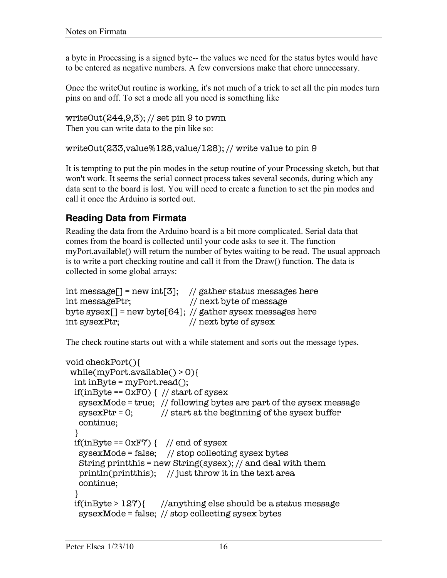a byte in Processing is a signed byte-- the values we need for the status bytes would have to be entered as negative numbers. A few conversions make that chore unnecessary.

Once the writeOut routine is working, it's not much of a trick to set all the pin modes turn pins on and off. To set a mode all you need is something like

writeOut $(244, 9, 3)$ ; // set pin 9 to pwm Then you can write data to the pin like so:

```
writeOut(233,value%128,value/128); // write value to pin 9
```
It is tempting to put the pin modes in the setup routine of your Processing sketch, but that won't work. It seems the serial connect process takes several seconds, during which any data sent to the board is lost. You will need to create a function to set the pin modes and call it once the Arduino is sorted out.

### **Reading Data from Firmata**

Reading the data from the Arduino board is a bit more complicated. Serial data that comes from the board is collected until your code asks to see it. The function myPort.available() will return the number of bytes waiting to be read. The usual approach is to write a port checking routine and call it from the Draw() function. The data is collected in some global arrays:

```
int message[] = new int[3]; // gather status messages here
int messagePtr; // next byte of message
byte sysex[] = new byte[64]; // gather sysex messages here
int sysexPtr; // next byte of sysex
```
The check routine starts out with a while statement and sorts out the message types.

```
void checkPort(){
  while(myPort.available() > 0){
   int inByte = myPort.read();
  if(inByte == 0xF0) { // start of sysex
    sysexMode = true; // following bytes are part of the sysex message
   sysexPr = 0; // start at the beginning of the sysex buffer
    continue;
 }
  if(inByte == 0xF?) { // end of sysex
    sysexMode = false; // stop collecting sysex bytes
    String printthis = new String(sysex); // and deal with them
    println(printthis); // just throw it in the text area
    continue;
   }
   if(inByte > 127){ //anything else should be a status message
    sysexMode = false; // stop collecting sysex bytes
```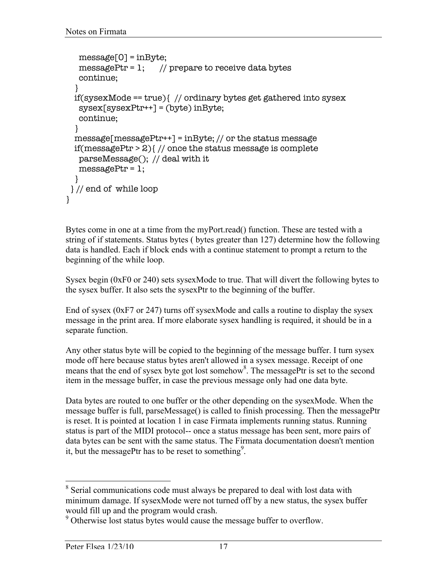```
 message[0] = inByte;
   messagePtr = 1; // prepare to receive data bytes
    continue;
   }
   if(sysexMode == true){ // ordinary bytes get gathered into sysex
    sysex[sysexPtr++] = (byte) inByte;
    continue;
   }
   message[messagePtr++] = inByte; // or the status message
   if(messagePtr > 2){ // once the status message is complete
    parseMessage(); // deal with it
  messagePtr = 1; }
 } // end of while loop
}
```
Bytes come in one at a time from the myPort.read() function. These are tested with a string of if statements. Status bytes ( bytes greater than 127) determine how the following data is handled. Each if block ends with a continue statement to prompt a return to the beginning of the while loop.

Sysex begin (0xF0 or 240) sets sysexMode to true. That will divert the following bytes to the sysex buffer. It also sets the sysexPtr to the beginning of the buffer.

End of sysex (0xF7 or 247) turns off sysexMode and calls a routine to display the sysex message in the print area. If more elaborate sysex handling is required, it should be in a separate function.

Any other status byte will be copied to the beginning of the message buffer. I turn sysex mode off here because status bytes aren't allowed in a sysex message. Receipt of one means that the end of sysex byte got lost somehow<sup>8</sup>. The messagePtr is set to the second item in the message buffer, in case the previous message only had one data byte.

Data bytes are routed to one buffer or the other depending on the sysexMode. When the message buffer is full, parseMessage() is called to finish processing. Then the messagePtr is reset. It is pointed at location 1 in case Firmata implements running status. Running status is part of the MIDI protocol-- once a status message has been sent, more pairs of data bytes can be sent with the same status. The Firmata documentation doesn't mention it, but the messagePtr has to be reset to something<sup>9</sup>.

<sup>&</sup>lt;sup>8</sup> Serial communications code must always be prepared to deal with lost data with minimum damage. If sysexMode were not turned off by a new status, the sysex buffer would fill up and the program would crash.

<sup>&</sup>lt;sup>9</sup> Otherwise lost status bytes would cause the message buffer to overflow.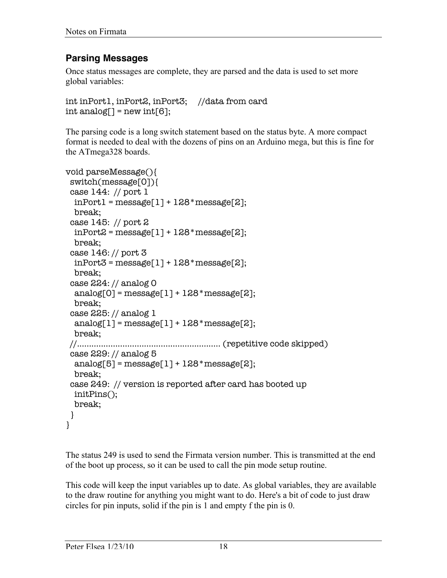#### **Parsing Messages**

Once status messages are complete, they are parsed and the data is used to set more global variables:

```
int inPort1, inPort2, inPort3; //data from card
int analog[] = new int[6];
```
The parsing code is a long switch statement based on the status byte. A more compact format is needed to deal with the dozens of pins on an Arduino mega, but this is fine for the ATmega328 boards.

```
void parseMessage(){
  switch(message[0]){
  case 144: // port 1
 inPort1 = message[1] + 128*message[2]; break;
  case 145: // port 2
 inPort2 = message[1] + 128 * message[2]; break;
  case 146: // port 3
  inPort3 = message[1] + 128 * message[2]; break;
  case 224: // analog 0
  analog[0] = message[1] + 128*message[2]; break;
  case 225: // analog 1
  analog[1] = message[1] + 128*message[2]; break;
 //............................................................ (repetitive code skipped)
  case 229: // analog 5
  analog[5] = message[1] + 128*message[2]; break;
  case 249: // version is reported after card has booted up
   initPins();
  break;
  }
}
```
The status 249 is used to send the Firmata version number. This is transmitted at the end of the boot up process, so it can be used to call the pin mode setup routine.

This code will keep the input variables up to date. As global variables, they are available to the draw routine for anything you might want to do. Here's a bit of code to just draw circles for pin inputs, solid if the pin is 1 and empty f the pin is 0.